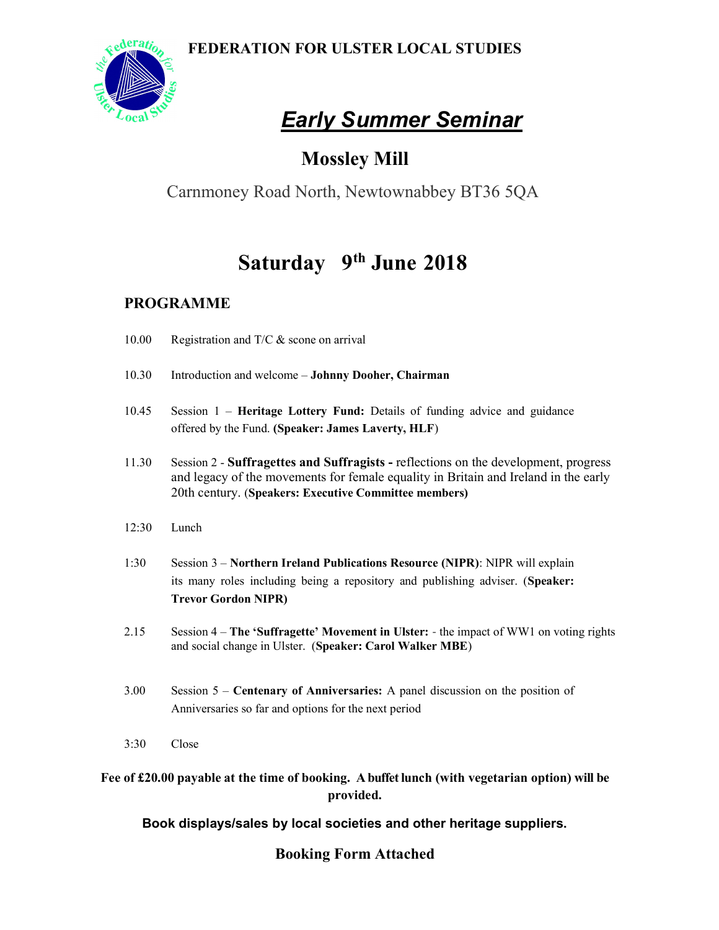FEDERATION FOR ULSTER LOCAL STUDIES



# **Early Summer Seminar**

### Mossley Mill

Carnmoney Road North, Newtownabbey BT36 5QA

## Saturday 9<sup>th</sup> June 2018

#### PROGRAMME

- 10.00 Registration and T/C & scone on arrival
- 10.30 Introduction and welcome Johnny Dooher, Chairman
- 10.45 Session 1 Heritage Lottery Fund: Details of funding advice and guidance offered by the Fund. (Speaker: James Laverty, HLF)
- 11.30 Session 2 Suffragettes and Suffragists reflections on the development, progress and legacy of the movements for female equality in Britain and Ireland in the early 20th century. (Speakers: Executive Committee members)
- 12:30 Lunch
- 1:30 Session 3 Northern Ireland Publications Resource (NIPR): NIPR will explain its many roles including being a repository and publishing adviser. (Speaker: Trevor Gordon NIPR)
- 2.15 Session 4 The 'Suffragette' Movement in Ulster: the impact of WW1 on voting rights and social change in Ulster. (Speaker: Carol Walker MBE)
- 3.00 Session 5 Centenary of Anniversaries: A panel discussion on the position of Anniversaries so far and options for the next period
- 3:30 Close

Fee of £20.00 payable at the time of booking. A buffet lunch (with vegetarian option) will be provided.

#### Book displays/sales by local societies and other heritage suppliers.

#### Booking Form Attached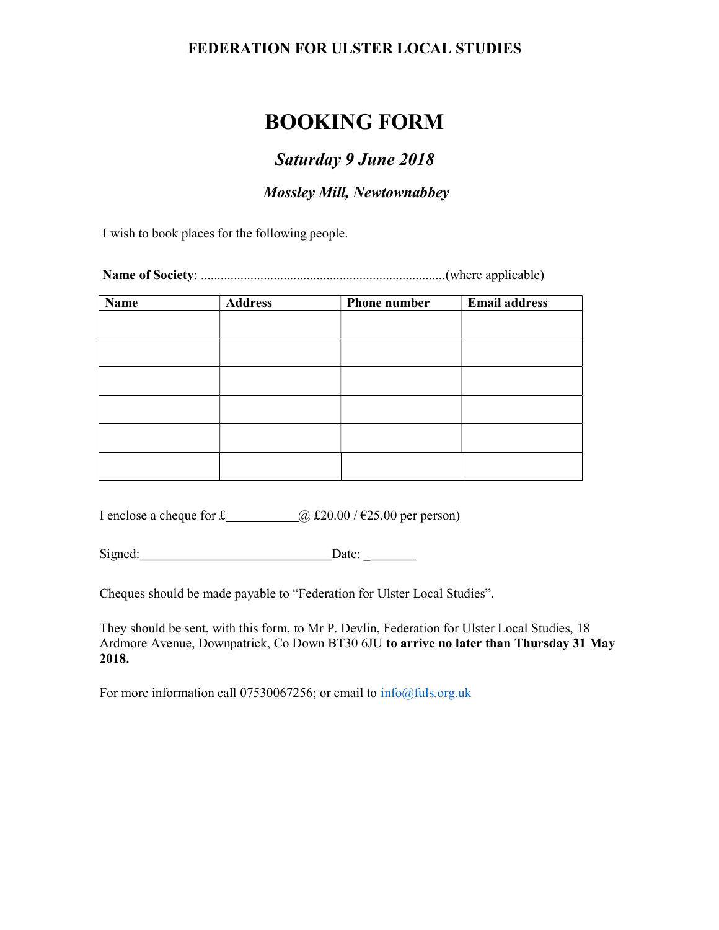#### FEDERATION FOR ULSTER LOCAL STUDIES

### BOOKING FORM

#### Saturday 9 June 2018

#### Mossley Mill, Newtownabbey

I wish to book places for the following people.

Name of Society: ..........................................................................(where applicable)

| $\overline{\mathbf{Name}}$ | <b>Address</b> | <b>Phone number</b> | <b>Email address</b> |
|----------------------------|----------------|---------------------|----------------------|
|                            |                |                     |                      |
|                            |                |                     |                      |
|                            |                |                     |                      |
|                            |                |                     |                      |
|                            |                |                     |                      |
|                            |                |                     |                      |
|                            |                |                     |                      |
|                            |                |                     |                      |
|                            |                |                     |                      |
|                            |                |                     |                      |

I enclose a cheque for £  $\qquad \qquad \qquad$   $\qquad \qquad$  £20.00 / €25.00 per person)

Signed: Date: Date:

Cheques should be made payable to "Federation for Ulster Local Studies".

They should be sent, with this form, to Mr P. Devlin, Federation for Ulster Local Studies, 18 Ardmore Avenue, Downpatrick, Co Down BT30 6JU to arrive no later than Thursday 31 May 2018.

For more information call 07530067256; or email to  $\frac{info@fuls.org.uk}{info@fuls.org.uk}$